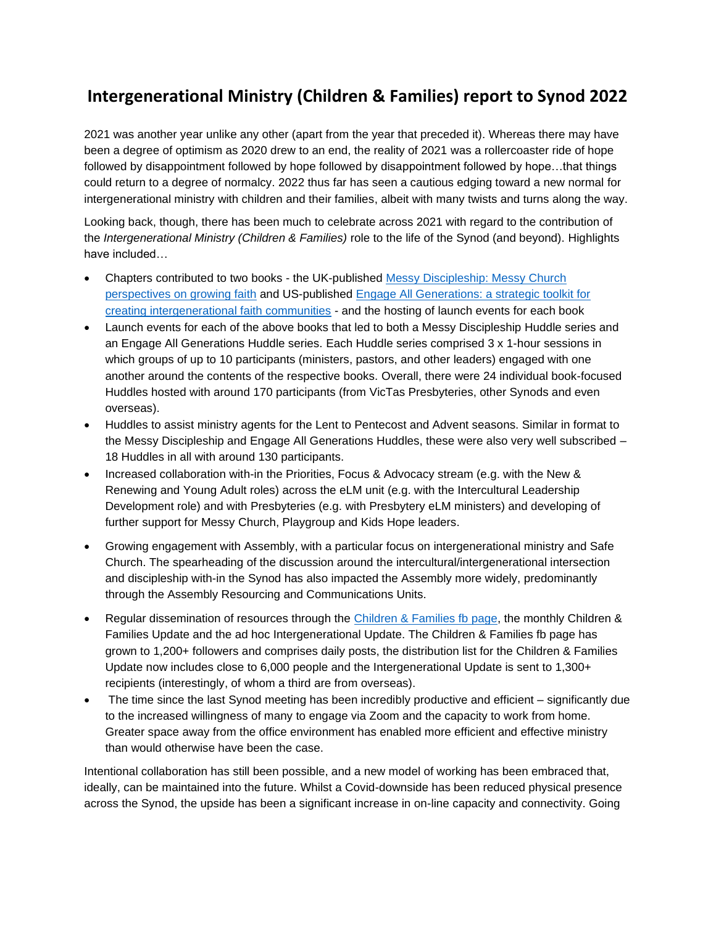## **Intergenerational Ministry (Children & Families) report to Synod 2022**

2021 was another year unlike any other (apart from the year that preceded it). Whereas there may have been a degree of optimism as 2020 drew to an end, the reality of 2021 was a rollercoaster ride of hope followed by disappointment followed by hope followed by disappointment followed by hope…that things could return to a degree of normalcy. 2022 thus far has seen a cautious edging toward a new normal for intergenerational ministry with children and their families, albeit with many twists and turns along the way.

Looking back, though, there has been much to celebrate across 2021 with regard to the contribution of the *Intergenerational Ministry (Children & Families)* role to the life of the Synod (and beyond). Highlights have included…

- Chapters contributed to two books the UK-published [Messy Discipleship: Messy Church](https://www.bookdepository.com/Messy-Discipleship-Lucy-Moore/9780857469533)  [perspectives on growing faith](https://www.bookdepository.com/Messy-Discipleship-Lucy-Moore/9780857469533) and US-published [Engage All Generations: a strategic toolkit for](https://www.amazon.com.au/Engage-All-Generations-Intergenerational-Communities-ebook/dp/B0958XJYRL)  [creating intergenerational faith communities](https://www.amazon.com.au/Engage-All-Generations-Intergenerational-Communities-ebook/dp/B0958XJYRL) - and the hosting of launch events for each book
- Launch events for each of the above books that led to both a Messy Discipleship Huddle series and an Engage All Generations Huddle series. Each Huddle series comprised 3 x 1-hour sessions in which groups of up to 10 participants (ministers, pastors, and other leaders) engaged with one another around the contents of the respective books. Overall, there were 24 individual book-focused Huddles hosted with around 170 participants (from VicTas Presbyteries, other Synods and even overseas).
- Huddles to assist ministry agents for the Lent to Pentecost and Advent seasons. Similar in format to the Messy Discipleship and Engage All Generations Huddles, these were also very well subscribed – 18 Huddles in all with around 130 participants.
- Increased collaboration with-in the Priorities, Focus & Advocacy stream (e.g. with the New & Renewing and Young Adult roles) across the eLM unit (e.g. with the Intercultural Leadership Development role) and with Presbyteries (e.g. with Presbytery eLM ministers) and developing of further support for Messy Church, Playgroup and Kids Hope leaders.
- Growing engagement with Assembly, with a particular focus on intergenerational ministry and Safe Church. The spearheading of the discussion around the intercultural/intergenerational intersection and discipleship with-in the Synod has also impacted the Assembly more widely, predominantly through the Assembly Resourcing and Communications Units.
- Regular dissemination of resources through the [Children & Families fb page,](https://www.facebook.com/UCAChildrensMinistry) the monthly Children & Families Update and the ad hoc Intergenerational Update. The Children & Families fb page has grown to 1,200+ followers and comprises daily posts, the distribution list for the Children & Families Update now includes close to 6,000 people and the Intergenerational Update is sent to 1,300+ recipients (interestingly, of whom a third are from overseas).
- The time since the last Synod meeting has been incredibly productive and efficient significantly due to the increased willingness of many to engage via Zoom and the capacity to work from home. Greater space away from the office environment has enabled more efficient and effective ministry than would otherwise have been the case.

Intentional collaboration has still been possible, and a new model of working has been embraced that, ideally, can be maintained into the future. Whilst a Covid-downside has been reduced physical presence across the Synod, the upside has been a significant increase in on-line capacity and connectivity. Going